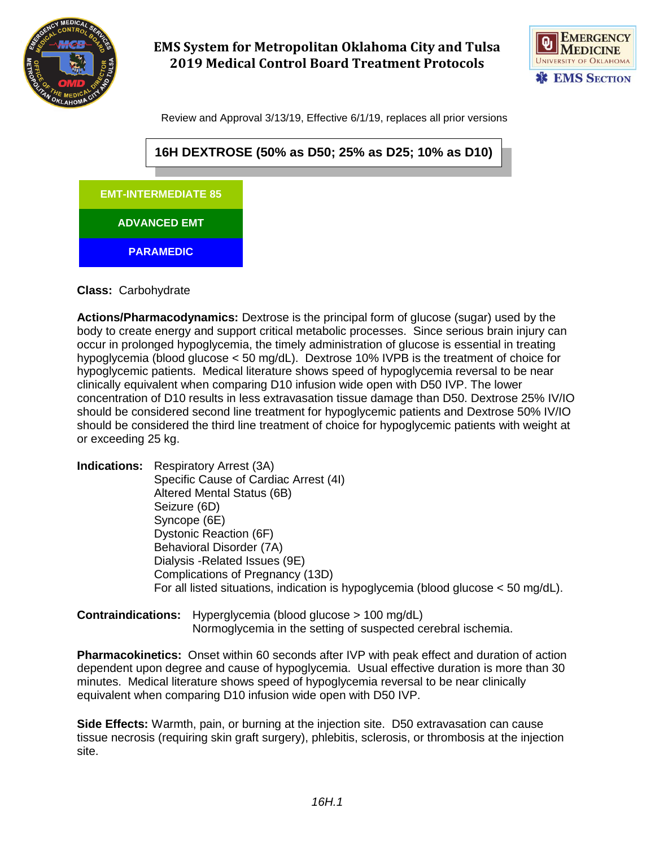

# **EMS System for Metropolitan Oklahoma City and Tulsa 2019 Medical Control Board Treatment Protocols**



Review and Approval 3/13/19, Effective 6/1/19, replaces all prior versions



**Class:** Carbohydrate

**Actions/Pharmacodynamics:** Dextrose is the principal form of glucose (sugar) used by the body to create energy and support critical metabolic processes. Since serious brain injury can occur in prolonged hypoglycemia, the timely administration of glucose is essential in treating hypoglycemia (blood glucose < 50 mg/dL). Dextrose 10% IVPB is the treatment of choice for hypoglycemic patients. Medical literature shows speed of hypoglycemia reversal to be near clinically equivalent when comparing D10 infusion wide open with D50 IVP. The lower concentration of D10 results in less extravasation tissue damage than D50. Dextrose 25% IV/IO should be considered second line treatment for hypoglycemic patients and Dextrose 50% IV/IO should be considered the third line treatment of choice for hypoglycemic patients with weight at or exceeding 25 kg.

**Indications:** Respiratory Arrest (3A) Specific Cause of Cardiac Arrest (4I) Altered Mental Status (6B) Seizure (6D) Syncope (6E) Dystonic Reaction (6F) Behavioral Disorder (7A) Dialysis -Related Issues (9E) Complications of Pregnancy (13D) For all listed situations, indication is hypoglycemia (blood glucose < 50 mg/dL).

**Contraindications:** Hyperglycemia (blood glucose > 100 mg/dL) Normoglycemia in the setting of suspected cerebral ischemia.

**Pharmacokinetics:** Onset within 60 seconds after IVP with peak effect and duration of action dependent upon degree and cause of hypoglycemia. Usual effective duration is more than 30 minutes. Medical literature shows speed of hypoglycemia reversal to be near clinically equivalent when comparing D10 infusion wide open with D50 IVP.

**Side Effects:** Warmth, pain, or burning at the injection site. D50 extravasation can cause tissue necrosis (requiring skin graft surgery), phlebitis, sclerosis, or thrombosis at the injection site.